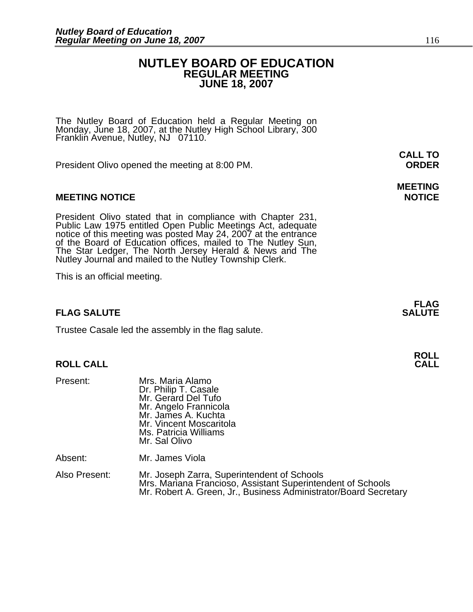### **NUTLEY BOARD OF EDUCATION REGULAR MEETING JUNE 18, 2007**

The Nutley Board of Education held a Regular Meeting on Monday, June 18, 2007, at the Nutley High School Library, 300 Franklin Avenue, Nutley, NJ 07110.

President Olivo opened the meeting at 8:00 PM. **ORDER**

### **MEETING NOTICE NOTICE AND RESERVE ASSESS**

President Olivo stated that in compliance with Chapter 231,<br>Public Law 1975 entitled Open Public Meetings Act, adequate<br>notice of this meeting was posted May 24, 2007 at the entrance<br>of the Board of Education offices, mail The Star Ledger, The North Jersey Herald & News and The Nutley Journal and mailed to the Nutley Township Clerk.

This is an official meeting.

### **FLAG SALUTE** SALUTE SALUTE SALUTE SALUTE SALUTE SALUTE SALUTE SALUTE SALUTE SALUTE SALUTE SALUTE SALUTE SALUTE SALUTE

Trustee Casale led the assembly in the flag salute.

### **ROLL CALL CALL**

| Present: | Mrs. Maria Alamo<br>Dr. Philip T. Casale<br>Mr. Gerard Del Tufo<br>Mr. Angelo Frannicola<br>Mr. James A. Kuchta<br>Mr. Vincent Moscaritola<br>Ms. Patricia Williams<br>Mr. Sal Olivo |
|----------|--------------------------------------------------------------------------------------------------------------------------------------------------------------------------------------|
| Absent:  | Mr. James Viola                                                                                                                                                                      |

Also Present: Mr. Joseph Zarra, Superintendent of Schools<br>Mrs. Mariana Francioso, Assistant Superintendent of Schools Mr. Robert A. Green, Jr., Business Administrator/Board Secretary

**CALL TO** 

# **MEETING**

**FLAG**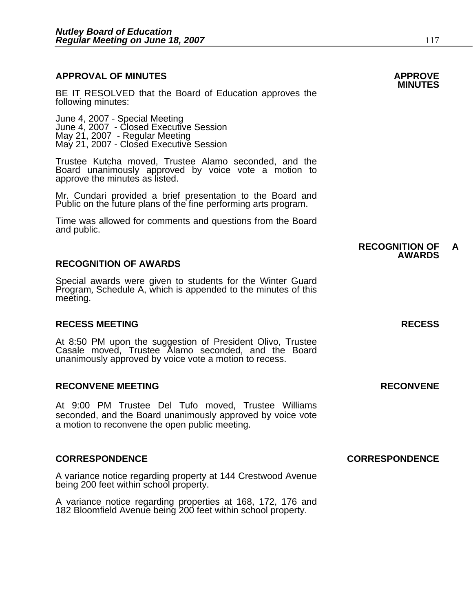### **APPROVAL OF MINUTES APPROVE**

BE IT RESOLVED that the Board of Education approves the following minutes:

 June 4, 2007 - Special Meeting June 4, 2007 - Closed Executive Session May 21, 2007 - Regular Meeting May 21, 2007 - Closed Executive Session

Trustee Kutcha moved, Trustee Alamo seconded, and the Board unanimously approved by voice vote a motion to approve the minutes as listed.

Mr. Cundari provided a brief presentation to the Board and Public on the future plans of the fine performing arts program.

Time was allowed for comments and questions from the Board and public.

### **RECOGNITION OF AWARDS**

Special awards were given to students for the Winter Guard Program, Schedule A, which is appended to the minutes of this meeting.

### **RECESS MEETING RECESS**

At 8:50 PM upon the suggestion of President Olivo, Trustee Casale moved, Trustee Alamo seconded, and the Board unanimously approved by voice vote a motion to recess.

### **RECONVENE MEETING RECONVENE**

At 9:00 PM Trustee Del Tufo moved, Trustee Williams seconded, and the Board unanimously approved by voice vote a motion to reconvene the open public meeting.

A variance notice regarding property at 144 Crestwood Avenue being 200 feet within school property.

A variance notice regarding properties at 168, 172, 176 and 182 Bloomfield Avenue being 200 feet within school property.

**CORRESPONDENCE CORRESPONDENCE** 

### **RECOGNITION OF A AWARDS**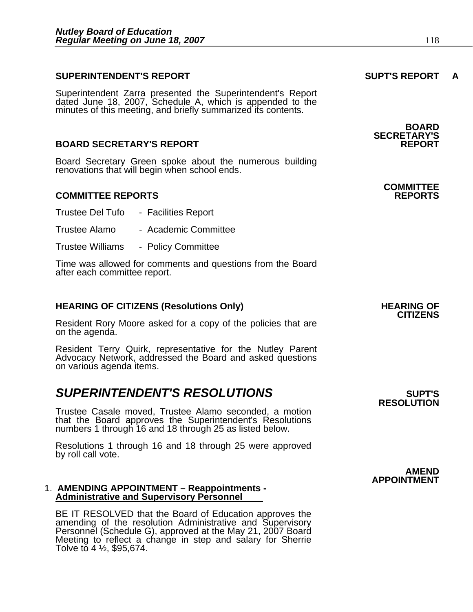### **SUPERINTENDENT'S REPORT SUPT'S REPORT A**

Superintendent Zarra presented the Superintendent's Report dated June 18, 2007, Schedule A, which is appended to the minutes of this meeting, and briefly summarized its contents.

### **BOARD SECRETARY'S REPORT**

Board Secretary Green spoke about the numerous building renovations that will begin when school ends.

### **COMMITTEE REPORTS REPORTS**

- Trustee Del Tufo Facilities Report
- Trustee Alamo Academic Committee
- Trustee Williams Policy Committee

Time was allowed for comments and questions from the Board after each committee report.

### **HEARING OF CITIZENS (Resolutions Only) HEARING OF SEARING OF**

Resident Rory Moore asked for a copy of the policies that are on the agenda.

Resident Terry Quirk, representative for the Nutley Parent Advocacy Network, addressed the Board and asked questions on various agenda items.

### **SUPERINTENDENT'S RESOLUTIONS EXAMPLE ASSESSED ASSESSED ASSESSED ASSESSED ASSESSED ASSESSED ASSESSED ASSESSED ASSESSED ASSESSED ASSESSED ASSESSED ASSESSED ASSESSED ASSESSED ASSESSED ASSESSED ASSESSED ASSESSED ASSESSED AS**

Trustee Casale moved, Trustee Alamo seconded, a motion that the Board approves the Superintendent's Resolutions numbers 1 through 16 and 18 through 25 as listed below.

Resolutions 1 through 16 and 18 through 25 were approved by roll call vote.

#### 1. **AMENDING APPOINTMENT – Reappointments - Administrative and Supervisory Personnel**

BE IT RESOLVED that the Board of Education approves the<br>amending of the resolution Administrative and Supervisory<br>Personnel (Schedule G), approved at the May 21, 2007 Board<br>Meeting to reflect a change in step and salary fo

# **CITIZENS**

**RESOLUTION** 

**BOARD SECRETARY'S** 

### **COMMITTEE**

**AMEND APPOINTMENT**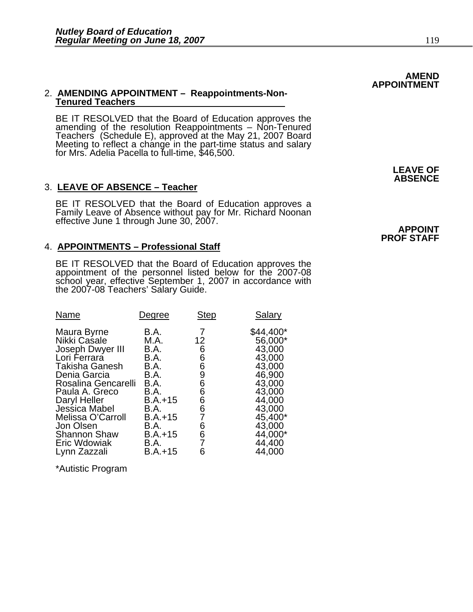### 2. **AMENDING APPOINTMENT – Reappointments-Non-Tenured Teachers**

BE IT RESOLVED that the Board of Education approves the amending of the resolution Reappointments – Non-Tenured Teachers (Schedule E), approved at the May 21, 2007 Board Meeting to reflect a change in the part-time status and salary<br>for Mrs. Adelia Pacella to full-time, \$46,500.

### 3. **LEAVE OF ABSENCE – Teacher**

BE IT RESOLVED that the Board of Education approves a<br>Family Leave of Absence without pay for Mr. Richard Noonan effective June 1 through June 30, 2007. **APPOINT** 

### 4. **APPOINTMENTS – Professional Staff**

BE IT RESOLVED that the Board of Education approves the appointment of the personnel listed below for the 2007-08 school year, effective September 1, 2007 in accordance with<br>the 2007-08 Teachers' Salary Guide.

| <b>Name</b>                                                                                                                                                                                                                                                                 | Degree                                                                                                                                   | <b>Step</b>                                                                             | <b>Salary</b>                                                                                                                                            |
|-----------------------------------------------------------------------------------------------------------------------------------------------------------------------------------------------------------------------------------------------------------------------------|------------------------------------------------------------------------------------------------------------------------------------------|-----------------------------------------------------------------------------------------|----------------------------------------------------------------------------------------------------------------------------------------------------------|
| Maura Byrne<br>Nikki Casale<br>Joseph Dwyer III<br>Lori Ferrara<br><b>Takisha Ganesh</b><br>Denia Garcia<br>Rosalina Gencarelli<br>Paula A. Greco<br>Daryl Heller<br>Jessica Mabel<br>Melissa O'Carroll<br>Jon Olsen<br><b>Shannon Shaw</b><br>Eric Wdowiak<br>Lynn Zazzali | B.A.<br>M.A.<br>B.A.<br>B.A.<br>B.A.<br>B.A.<br>B.A.<br>B.A.<br>$B.A.+15$<br>B.A.<br>$B.A.+15$<br>B.A.<br>$B.A.+15$<br>B.A.<br>$B.A.+15$ | 12 <sub>2</sub><br>6<br>6<br>6<br>9<br>6<br>6<br>6<br>$\frac{6}{7}$<br>6<br>6<br>7<br>6 | \$44,400*<br>56,000*<br>43,000<br>43,000<br>43,000<br>46,900<br>43,000<br>43,000<br>44,000<br>43,000<br>45,400*<br>43,000<br>44,000*<br>44,400<br>44,000 |
|                                                                                                                                                                                                                                                                             |                                                                                                                                          |                                                                                         |                                                                                                                                                          |

\*Autistic Program

**LEAVE OF ABSENCE** 

### **PROF STAFF**

**AMEND** 

**APPOINTMENT**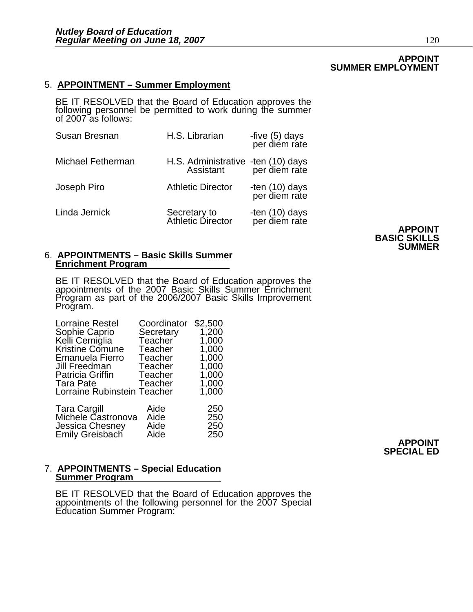### **APPOINT SUMMER EMPLOYMENT**

### 5. **APPOINTMENT – Summer Employment**

BE IT RESOLVED that the Board of Education approves the following personnel be permitted to work during the summer of 2007 as follows:

| Susan Bresnan            | H.S. Librarian                                                | -five (5) days<br>per diem rate |
|--------------------------|---------------------------------------------------------------|---------------------------------|
| <b>Michael Fetherman</b> | H.S. Administrative -ten (10) days<br>Assistant per diem rate |                                 |
| Joseph Piro              | <b>Athletic Director</b>                                      | -ten (10) days<br>per diem rate |
| Linda Jernick            | Secretary to<br>Athletic Director                             | -ten (10) days<br>per diem rate |

**APPOINT BASIC SKILLS SUMMER** 

#### 6. **APPOINTMENTS – Basic Skills Summer Enrichment Program**

BE IT RESOLVED that the Board of Education approves the appointments of the 2007 Basic Skills Summer Enrichment Program as part of the 2006/2007 Basic Skills Improvement<br>Program.

| <b>Lorraine Restel</b>      | Coordinator | \$2,500 |
|-----------------------------|-------------|---------|
| Sophie Caprio               | Secretary   | 1,200   |
| Kelli Cerniglia             | Teacher     | 1,000   |
| <b>Kristine Comune</b>      | Teacher     | 1,000   |
| Emanuela Fierro             | Teacher     | 1,000   |
| Jill Freedman               | Teacher     | 1,000   |
| <b>Patricia Griffin</b>     | Teacher     | 1,000   |
| Tara Pate                   | Teacher     | 1,000   |
| Lorraine Rubinstein Teacher |             | 1,000   |
| <b>Tara Cargill</b>         | Aide        | 250     |
| Michele Castronova          | Aide        | 250     |
| Jessica Chesney             | Aide        | 250     |
|                             |             |         |

Emily Greisbach Aide 250 **APPOINT SPECIAL ED** 

### 7. **APPOINTMENTS – Special Education Summer Program**

BE IT RESOLVED that the Board of Education approves the appointments of the following personnel for the 2007 Special Education Summer Program: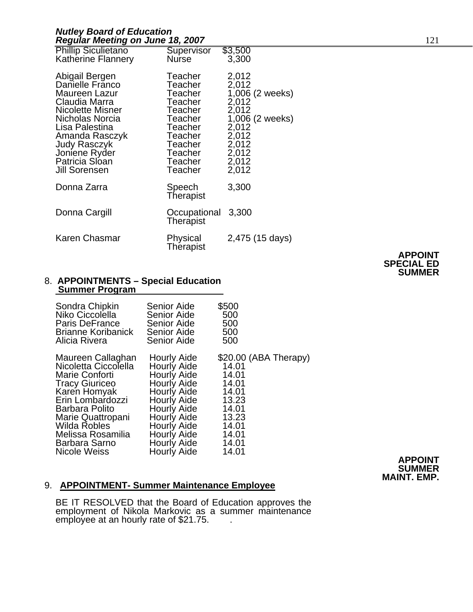### *Nutley Board of Education*  **Regular Meeting on June 18, 2007** 121

| <b>Phillip Siculietano</b><br><b>Katherine Flannery</b>                                                                                                                                                                   | Supervisor<br><b>Nurse</b>                                                                                                              | \$3,500<br>3,300                                                                                                               |
|---------------------------------------------------------------------------------------------------------------------------------------------------------------------------------------------------------------------------|-----------------------------------------------------------------------------------------------------------------------------------------|--------------------------------------------------------------------------------------------------------------------------------|
| Abigail Bergen<br>Danielle Frănco<br>Maureen Lazur<br>Claudia Marra<br><b>Nicolette Misner</b><br>Nicholas Norcia<br>Lisa Palestina<br>Amanda Rasczyk<br>Judy Rasczyk<br>Joniene Ryder<br>Patricia Sloan<br>Jill Sorensen | Teacher<br>Teacher<br>Teacher<br><b>Teacher</b><br>Teacher<br>Teacher<br>Teacher<br>Teacher<br>Teacher<br>Teacher<br>Teacher<br>Teacher | 2,012<br>2,012<br>$1,006$ (2 weeks)<br>2,012<br>2,012<br>1,006 (2 weeks)<br>2,012<br>2,012<br>2,012<br>2,012<br>2,012<br>2,012 |
| Donna Zarra                                                                                                                                                                                                               | Speech<br>Therapist                                                                                                                     | 3,300                                                                                                                          |
| Donna Cargill                                                                                                                                                                                                             | Occupational<br>Therapist                                                                                                               | 3,300                                                                                                                          |
| Karen Chasmar                                                                                                                                                                                                             | Physical<br>Therapist                                                                                                                   | 2,475 (15 days)                                                                                                                |

### **APPOINT SPECIAL ED SUMMER**

# 8. **APPOINTMENTS – Special Education Summer Program**

| Sondra Chipkin            | <b>Senior Aide</b> | \$500                 |
|---------------------------|--------------------|-----------------------|
| Niko Ciccolella           | <b>Senior Aide</b> | 500                   |
| <b>Paris DeFrance</b>     | <b>Senior Aide</b> | 500                   |
| <b>Brianne Koribanick</b> | Senior Aide        | 500                   |
| Alicia Rivera             | Senior Aide        | 500                   |
| Maureen Callaghan         | Hourly Aide        | \$20.00 (ABA Therapy) |
| Nicoletta Ciccolella      | Hourly Aide        | 14.01                 |
| Marie Conforti            | Hourly Aide        | 14.01                 |
| <b>Tracy Giuriceo</b>     | Hourly Aide        | 14.01                 |
| Karen Homyak              | Hourly Aide        | 14.01                 |
| Erin Lombardozzi          | Hourly Aide        | 13.23                 |
| Barbara Polito            | Hourly Aide        | 14.01                 |
| Marie Quattropani         | Hourly Aide        | 13.23                 |
| Wilda Robles              | Hourly Aide        | 14.01                 |
| Melissa Rosamilia         | Hourly Aide        | 14.01                 |
| Barbara Sarno             | Hourly Aide        | 14.01                 |
| Nicole Weiss              | Hourly Aide        | 14.01                 |

**APPOINT SUMMER MAINT. EMP.**

### 9. **APPOINTMENT- Summer Maintenance Employee**

BE IT RESOLVED that the Board of Education approves the<br>employment of Nikola Markovic as a summer maintenance employee at an hourly rate of \$21.75. . . .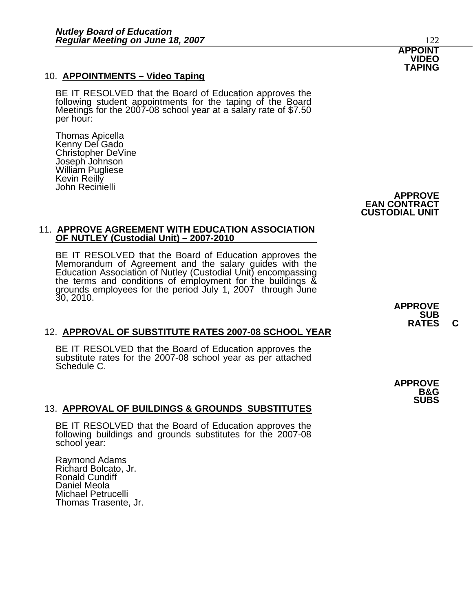10. **APPOINTMENTS – Video Taping**<br>BE IT RESOLVED that the Board of Education approves the<br>following student appointments for the taping of the Board<br>Meetings for the 2007-08 school year at a salary rate of \$7.50<br>per hour:

Thomas Apicella Kenny Del Gado Christopher DeVine Joseph Johnson William Pugliese Kevin Reilly John Recinielli

> **APPROVE EAN CONTRACT CUSTODIAL UNIT**

### 11. **APPROVE AGREEMENT WITH EDUCATION ASSOCIATION OF NUTLEY (Custodial Unit) – 2007-2010**

BE IT RESOLVED that the Board of Education approves the Memorandum of Agreement and the salary guides with the Education Association of Nutley (Custodial Unit) encompassing Education Association of Nutley (Custodial Unit) encompassing the terms and conditions of employment for the buildings & grounds employees for the period July 1, 2007 through June 30, 2010.

### 12. **APPROVAL OF SUBSTITUTE RATES 2007-08 SCHOOL YEAR**

BE IT RESOLVED that the Board of Education approves the substitute rates for the 2007-08 school year as per attached Schedule C.

### 13. **APPROVAL OF BUILDINGS & GROUNDS SUBSTITUTES**

BE IT RESOLVED that the Board of Education approves the following buildings and grounds substitutes for the 2007-08 school year:

Raymond Adams Richard Bolcato, Jr. Ronald Cundiff Daniel Meola Michael Petrucelli Thomas Trasente, Jr. **APPROVE**  RATES C

**APPROVE B&G SUBS** 

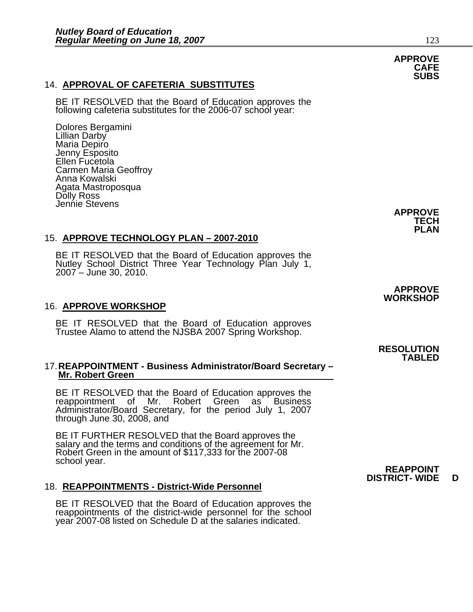### 14. **APPROVAL OF CAFETERIA SUBSTITUTES**

BE IT RESOLVED that the Board of Education approves the following cafeteria substitutes for the 2006-07 school year:

Dolores Bergamini Lillian Darby Maria Depiro Jenny Esposito Ellen Fucetola Carmen Maria Geoffroy Anna Kowalski Agata Mastroposqua Dolly Ross Jennie Stevens

### 15. **APPROVE TECHNOLOGY PLAN – 2007-2010**

BE IT RESOLVED that the Board of Education approves the Nutley School District Three Year Technology Plan July 1, 2007 – June 30, 2010.

### 16. **APPROVE WORKSHOP**

BE IT RESOLVED that the Board of Education approves<br>Trustee Alamo to attend the NJSBA 2007 Spring Workshop.

### 17. **REAPPOINTMENT - Business Administrator/Board Secretary – Mr. Robert Green**

BE IT RESOLVED that the Board of Education approves the reappointment of Mr. Robert Green as Business Administrator/Board Secretary, for the period July 1, 2007 through June 30, 2008, and

BE IT FURTHER RESOLVED that the Board approves the salary and the terms and conditions of the agreement for Mr.<br>Robert Green in the amount of \$117,333 for the 2007-08<br>school year. school year. **REAPPOINT** 

### 18. **REAPPOINTMENTS - District-Wide Personnel**

BE IT RESOLVED that the Board of Education approves the reappointments of the district-wide personnel for the school year 2007-08 listed on Schedule D at the salaries indicated.

**APPROVE WORKSHOP** 

# **RESOLUTION TABLED**

**DISTRICT- WIDE D** 

**APPROVE TECH PLAN** 

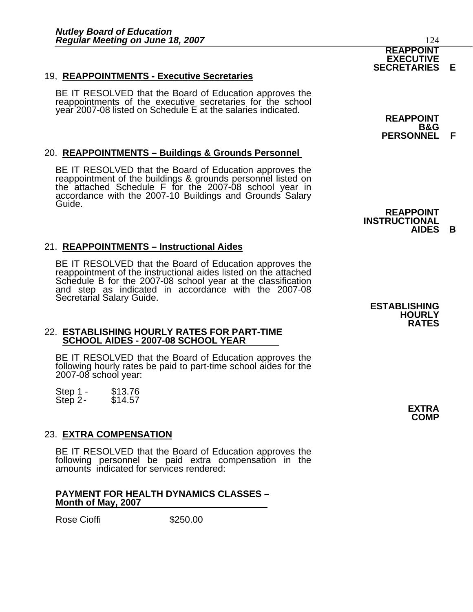### 19, **REAPPOINTMENTS - Executive Secretaries**

BE IT RESOLVED that the Board of Education approves the reappointments of the executive secretaries for the school year 2007-08 listed on Schedule E at the salaries indicated.

### 20. **REAPPOINTMENTS – Buildings & Grounds Personnel**

BE IT RESOLVED that the Board of Education approves the reappointment of the buildings & grounds personnel listed on<br>the attached Schedule F for the 2007-08 school year in accordance with the 2007-10 Buildings and Grounds Salary<br>Guide.

### 21. **REAPPOINTMENTS – Instructional Aides**

BE IT RESOLVED that the Board of Education approves the reappointment of the instructional aides listed on the attached Schedule B for the 2007-08 school year at the classification and step as indicated in accordance with the 2007-08 Secretarial Salary Guide. **ESTABLISHING** 

### 22. **ESTABLISHING HOURLY RATES FOR PART-TIME SCHOOL AIDES - 2007-08 SCHOOL YEAR**

BE IT RESOLVED that the Board of Education approves the following hourly rates be paid to part-time school aides for the 2007-08 school year:

Step 1 - \$13.76<br>Step 2 - \$14.57 Step  $2-$ 

### 23. **EXTRA COMPENSATION**

BE IT RESOLVED that the Board of Education approves the following personnel be paid extra compensation in the amounts indicated for services rendered:

### **PAYMENT FOR HEALTH DYNAMICS CLASSES – Month of May, 2007**

Rose Cioffi **\$250.00** 

**REAPPOINT B&G PERSONNEL F** 

**INSTRUCTIONAL AIDES B** 

**REAPPOINT** 

**HOURLY RATES** 

> **EXTRA COMP**



#### **EXECUTIVE SECRETARIES E**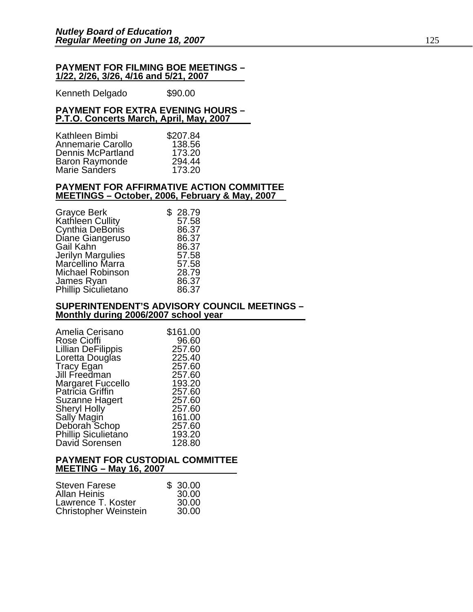#### **PAYMENT FOR FILMING BOE MEETINGS – 1/22, 2/26, 3/26, 4/16 and 5/21, 2007**

Kenneth Delgado \$90.00

### **PAYMENT FOR EXTRA EVENING HOURS – P.T.O. Concerts March, April, May, 2007**

| Kathleen Bimbi        | \$207.84 |
|-----------------------|----------|
| Annemarie Carollo     | 138.56   |
| Dennis McPartland     | 173.20   |
| <b>Baron Raymonde</b> | 294.44   |
| <b>Marie Sanders</b>  | 173.20   |

#### **PAYMENT FOR AFFIRMATIVE ACTION COMMITTEE MEETINGS – October, 2006, February & May, 2007**

| Grayce Berk             | \$28.79 |
|-------------------------|---------|
| Kathleen Cullity        | 57.58   |
| Cynthia DeBonis         | 86.37   |
| Diane Giangeruso        | 86.37   |
| Gail Kahn               | 86.37   |
| Jerilyn Margulies       | 57.58   |
| Marcellino Marra        | 57.58   |
| <b>Michael Robinson</b> | 28.79   |
| James Ryan              | 86.37   |
| Phillip Siculietano     | 86.37   |

### **SUPERINTENDENT'S ADVISORY COUNCIL MEETINGS – Monthly during 2006/2007 school year**

| Amelia Cerisano                       | \$161.00 |
|---------------------------------------|----------|
| <b>Rose Cioffi</b>                    | 96.60    |
| <b>Lillian DeFilippis</b>             | 257.60   |
| Loretta Douglas                       | 225.40   |
| Tracy Egan<br>Jill Freedman           | 257.60   |
|                                       | 257.60   |
| Margaret Fuccello<br>Patricia Griffin | 193.20   |
|                                       | 257.60   |
| Suzanne Hagert                        | 257.60   |
| <b>Sheryl Holly</b>                   | 257.60   |
| Sally Magin                           | 161.00   |
| Deborah Schop                         | 257.60   |
| <b>Phillip Siculietano</b>            | 193.20   |
| David Sorensen                        | 128.80   |

### **PAYMENT FOR CUSTODIAL COMMITTEE MEETING – May 16, 2007**

| <b>Steven Farese</b>         | \$30.00 |
|------------------------------|---------|
| <b>Allan Heinis</b>          | 30.00   |
| Lawrence T. Koster           | 30.00   |
| <b>Christopher Weinstein</b> | 30.00   |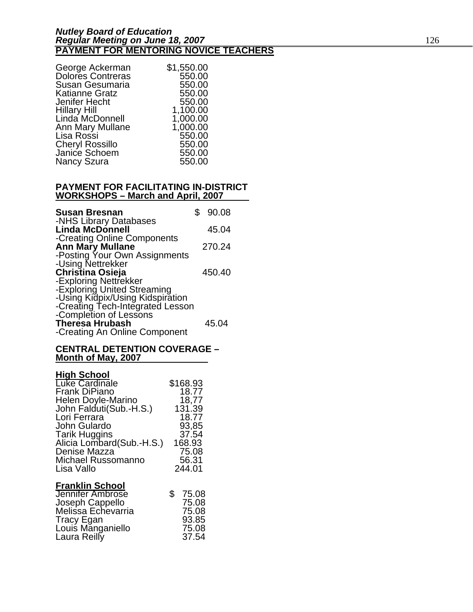| George Ackerman          | \$1,550.00 |
|--------------------------|------------|
| <b>Dolores Contreras</b> | 550.00     |
| Susan Gesumaria          | 550.00     |
| Katianne Gratz           | 550.00     |
| Jenifer Hecht            | 550.00     |
| Hillary Hill             | 1,100.00   |
| Linda McDonnell          | 1,000.00   |
| Ann Mary Mullane         | 1,000.00   |
| Lisa Rossi               | 550.00     |
| <b>Cheryl Rossillo</b>   | 550.00     |
| Janice Schoem            | 550.00     |
| <b>Nancy Szura</b>       | 550.00     |

### **PAYMENT FOR FACILITATING IN-DISTRICT WORKSHOPS – March and April, 2007**

| <b>Susan Bresnan</b><br>-NHS Library Databases                  | \$90.08 |
|-----------------------------------------------------------------|---------|
| <b>Linda McDonnell</b>                                          | 45.04   |
| -Creating Online Components<br><b>Ann Mary Mullane</b>          | 270.24  |
| -Posting Your Own Assignments<br>-Using Nettrekker              |         |
| <b>Christina Osieja</b><br>-Exploring Nettrekker                | 450.40  |
| -Exploring United Streaming<br>-Using Kidpix/Using Kidspiration |         |
| -Creating Tech-Integrated Lesson                                |         |
| -Completion of Lessons<br><b>Theresa Hrubash</b>                | 45.04   |
| -Creating An Online Component                                   |         |

### **CENTRAL DETENTION COVERAGE – Month of May, 2007**

### **High School**

| Luke Cardinale            | \$168.93 |
|---------------------------|----------|
| Frank DiPiano             | 18.77    |
| <b>Helen Doyle-Marino</b> | 18,77    |
| John Falduti(Sub.-H.S.)   | 131.39   |
| Lori Ferrara              | 18.77    |
| John Gulardo              | 93,85    |
| Tarik Huggins             | 37.54    |
| Alicia Lombard(Sub.-H.S.) | 168.93   |
| Denise Mazza              | 75.08    |
| Michael Russomanno        | 56.31    |
| Lisa Vallo                | 244.01   |
|                           |          |

### **Franklin School**

| \$75.08 |
|---------|
| 75.08   |
| 75.08   |
| 93.85   |
| 75.08   |
| 37.54   |
|         |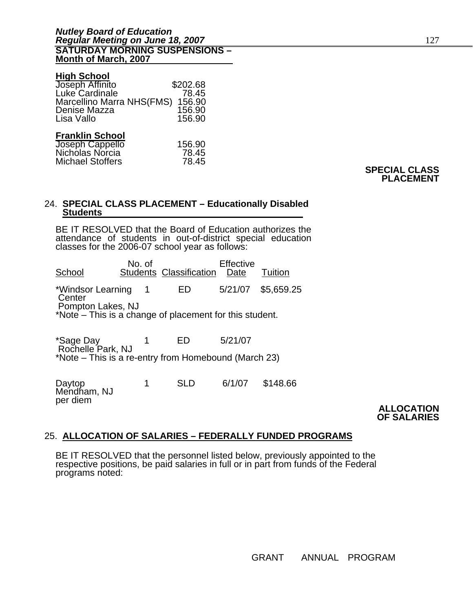### **High School**

| Joseph Affinito           | \$202.68 |
|---------------------------|----------|
| Luke Cardinale            | 78.45    |
| Marcellino Marra NHS(FMS) | 156.90   |
| Denise Mazza              | 156.90   |
| Lisa Vallo                | 156.90   |
|                           |          |
| <b>Franklin School</b>    |          |
| Toponh Connello           | 150.00   |

| Joseph Cappello  | 156.90 |
|------------------|--------|
| Nicholas Norcia  | 78.45  |
| Michael Stoffers | 78.45  |

### **SPECIAL CLASS PLACEMENT**

## 24. **SPECIAL CLASS PLACEMENT – Educationally Disabled Students**

BE IT RESOLVED that the Board of Education authorizes the attendance of students in out-of-district special education classes for the 2006-07 school year as follows:

No. of Effective<br>School Students Classification Date Students Classification Date Tuition \*Windsor Learning 1 ED 5/21/07 \$5,659.25 **Center**  Pompton Lakes, NJ \*Note – This is a change of placement for this student.

 $*$ Sage Day  $1$  ED  $5/21/07$ Rochelle Park, NJ \*Note – This is a re-entry from Homebound (March 23)

Daytop 1 SLD 6/1/07 \$148.66<br>Mendham, NJ Mendham, NJ per diem **ALLOCATION** 

**OF SALARIES** 

### 25. **ALLOCATION OF SALARIES – FEDERALLY FUNDED PROGRAMS**

BE IT RESOLVED that the personnel listed below, previously appointed to the respective positions, be paid salaries in full or in part from funds of the Federal programs noted: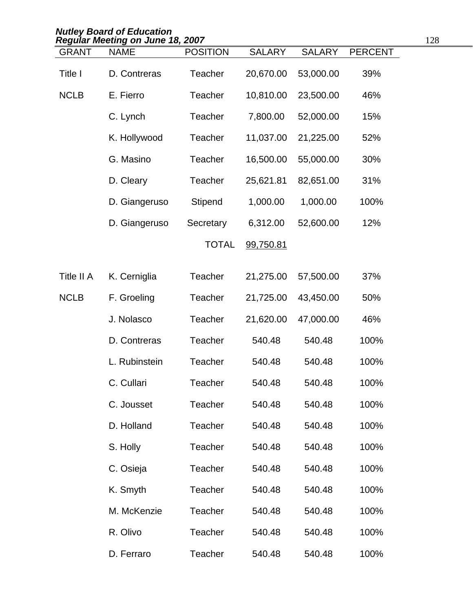|              | <b>Nutley Board of Education</b><br>Regular Meeting on June 18, 2007 |                 |               |               |                | 128 |
|--------------|----------------------------------------------------------------------|-----------------|---------------|---------------|----------------|-----|
| <b>GRANT</b> | <b>NAME</b>                                                          | <b>POSITION</b> | <b>SALARY</b> | <b>SALARY</b> | <b>PERCENT</b> |     |
| Title I      | D. Contreras                                                         | Teacher         | 20,670.00     | 53,000.00     | 39%            |     |
| <b>NCLB</b>  | E. Fierro                                                            | Teacher         | 10,810.00     | 23,500.00     | 46%            |     |
|              | C. Lynch                                                             | <b>Teacher</b>  | 7,800.00      | 52,000.00     | 15%            |     |
|              | K. Hollywood                                                         | Teacher         | 11,037.00     | 21,225.00     | 52%            |     |
|              | G. Masino                                                            | <b>Teacher</b>  | 16,500.00     | 55,000.00     | 30%            |     |
|              | D. Cleary                                                            | <b>Teacher</b>  | 25,621.81     | 82,651.00     | 31%            |     |
|              | D. Giangeruso                                                        | <b>Stipend</b>  | 1,000.00      | 1,000.00      | 100%           |     |
|              | D. Giangeruso                                                        | Secretary       | 6,312.00      | 52,600.00     | 12%            |     |
|              |                                                                      | <b>TOTAL</b>    | 99,750.81     |               |                |     |
| Title II A   | K. Cerniglia                                                         | Teacher         | 21,275.00     | 57,500.00     | 37%            |     |
| <b>NCLB</b>  | F. Groeling                                                          | <b>Teacher</b>  | 21,725.00     | 43,450.00     | 50%            |     |
|              | J. Nolasco                                                           | <b>Teacher</b>  | 21,620.00     | 47,000.00     | 46%            |     |
|              | D. Contreras                                                         | <b>Teacher</b>  | 540.48        | 540.48        | 100%           |     |
|              | L. Rubinstein                                                        | Teacher         | 540.48        | 540.48        | 100%           |     |
|              | C. Cullari                                                           | <b>Teacher</b>  | 540.48        | 540.48        | 100%           |     |
|              | C. Jousset                                                           | <b>Teacher</b>  | 540.48        | 540.48        | 100%           |     |
|              | D. Holland                                                           | Teacher         | 540.48        | 540.48        | 100%           |     |
|              | S. Holly                                                             | Teacher         | 540.48        | 540.48        | 100%           |     |
|              | C. Osieja                                                            | Teacher         | 540.48        | 540.48        | 100%           |     |
|              | K. Smyth                                                             | Teacher         | 540.48        | 540.48        | 100%           |     |
|              | M. McKenzie                                                          | Teacher         | 540.48        | 540.48        | 100%           |     |
|              | R. Olivo                                                             | <b>Teacher</b>  | 540.48        | 540.48        | 100%           |     |
|              | D. Ferraro                                                           | <b>Teacher</b>  | 540.48        | 540.48        | 100%           |     |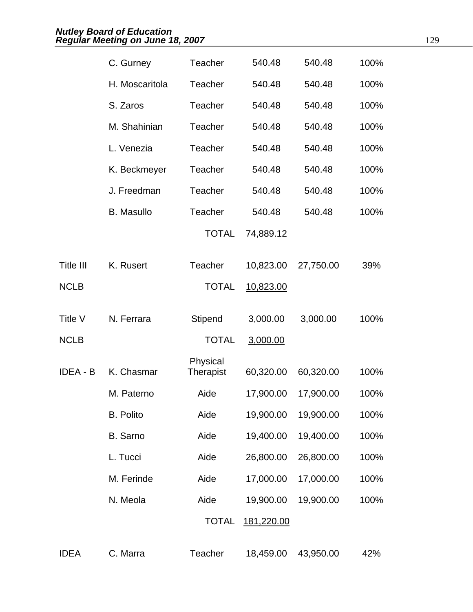|                 | C. Gurney         | Teacher                      | 540.48           | 540.48    | 100% |
|-----------------|-------------------|------------------------------|------------------|-----------|------|
|                 | H. Moscaritola    | Teacher                      | 540.48           | 540.48    | 100% |
|                 | S. Zaros          | <b>Teacher</b>               | 540.48           | 540.48    | 100% |
|                 | M. Shahinian      | Teacher                      | 540.48           | 540.48    | 100% |
|                 | L. Venezia        | Teacher                      | 540.48           | 540.48    | 100% |
|                 | K. Beckmeyer      | <b>Teacher</b>               | 540.48           | 540.48    | 100% |
|                 | J. Freedman       | Teacher                      | 540.48           | 540.48    | 100% |
|                 | <b>B.</b> Masullo | Teacher                      | 540.48           | 540.48    | 100% |
|                 |                   | <b>TOTAL</b>                 | <u>74,889.12</u> |           |      |
| Title III       | K. Rusert         | <b>Teacher</b>               | 10,823.00        | 27,750.00 | 39%  |
| <b>NCLB</b>     |                   | <b>TOTAL</b>                 | 10,823.00        |           |      |
| Title V         | N. Ferrara        | Stipend                      | 3,000.00         | 3,000.00  | 100% |
| <b>NCLB</b>     |                   | <b>TOTAL</b>                 | 3,000.00         |           |      |
| <b>IDEA - B</b> | K. Chasmar        | Physical<br><b>Therapist</b> | 60,320.00        | 60,320.00 | 100% |
|                 | M. Paterno        | Aide                         | 17,900.00        | 17,900.00 | 100% |
|                 | <b>B.</b> Polito  | Aide                         | 19,900.00        | 19,900.00 | 100% |
|                 | <b>B.</b> Sarno   | Aide                         | 19,400.00        | 19,400.00 | 100% |
|                 | L. Tucci          | Aide                         | 26,800.00        | 26,800.00 | 100% |
|                 | M. Ferinde        | Aide                         | 17,000.00        | 17,000.00 | 100% |
|                 | N. Meola          | Aide                         | 19,900.00        | 19,900.00 | 100% |
|                 |                   | <b>TOTAL</b>                 | 181,220.00       |           |      |
| <b>IDEA</b>     | C. Marra          | Teacher                      | 18,459.00        | 43,950.00 | 42%  |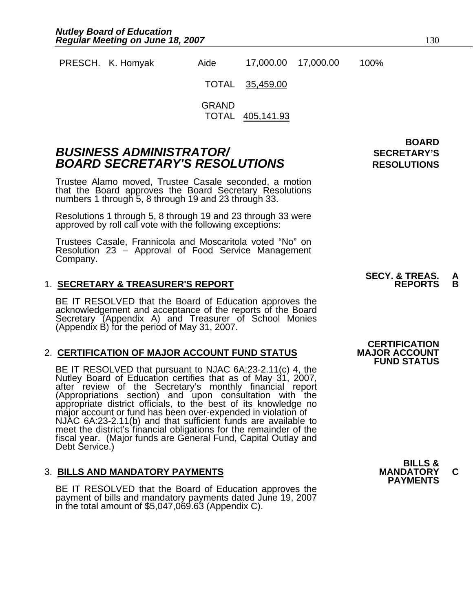PRESCH. K. Homyak Aide 17,000.00 17,000.00 100%

> TOTAL 35,459.00

GRAND TOTAL 405,141.93

### **BUSINESS ADMINISTRATOR/** *BUSINESS ADMINISTRATOR/* **BOARD SECRETARY'S RESOLUTIONS** RESOLUTIONS

Trustee Alamo moved, Trustee Casale seconded, a motion that the Board approves the Board Secretary Resolutions numbers 1 through 5, 8 through 19 and 23 through 33.

Resolutions 1 through 5, 8 through 19 and 23 through 33 were approved by roll call vote with the following exceptions:

Trustees Casale, Frannicola and Moscaritola voted "No" on Resolution 23 – Approval of Food Service Management Company.

### 1. **SECRETARY & TREASURER'S REPORT**

BE IT RESOLVED that the Board of Education approves the acknowledgement and acceptance of the reports of the Board Secretary (Appendix A) and Treasurer of School Monies (Appendix B) for the period of May 31, 2007.

### 2. **CERTIFICATION OF MAJOR ACCOUNT FUND STATUS**

BE IT RESOLVED that pursuant to NJAC 6A:23-2.11(c) 4, the<br>Nutley Board of Education certifies that as of May 31, 2007,<br>after review of the Secretary's monthly financial report<br>(Appropriations section) and upon consultation NJAC 6A:23-2.11(b) and that sufficient funds are available to meet the district's financial obligations for the remainder of the fiscal year. (Major funds are General Fund, Capital Outlay and<br>Debt Service.)

### 3. **BILLS AND MANDATORY PAYMENTS MANDATORY C**

BE IT RESOLVED that the Board of Education approves the payment of bills and mandatory payments dated June 19, 2007 in the total amount of \$5,047,069.63 (Appendix C).

**BOARD** 

## **SECY. & TREAS. A**

### **CERTIFICATION<br>MAJOR ACCOUNT FUND STATUS**

**BILLS & PAYMENTS**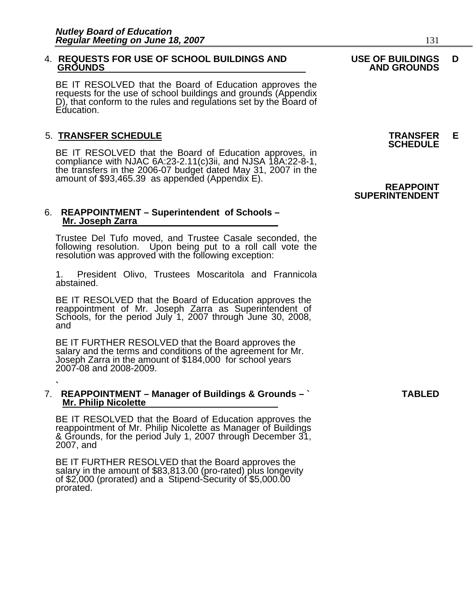### 4. **REQUESTS FOR USE OF SCHOOL BUILDINGS AND USE OF BUILDINGS D**

BE IT RESOLVED that the Board of Education approves the requests for the use of school buildings and grounds (Appendix D), that conform to the rules and regulations set by the Board of Education.

5. **TRANSFER SCHEDULE**<br>**BE IT RESOLVED that the Board of Education approves, in SCHEDULE**<br>**BE IT RESOLVED that the Board of Education approves, in** compliance with NJAC 6A:23-2.11(c)3ii, and NJSA 18A:22-8-1, the transfers in the 2006-07 budget dated May 31, 2007 in the amount of \$93,465.39 as appended (Appendix E).

### 6. **REAPPOINTMENT – Superintendent of Schools – Mr. Joseph Zarra**

Trustee Del Tufo moved, and Trustee Casale seconded, the following resolution. Upon being put to a roll call vote the resolution was approved with the following exception:

1. President Olivo, Trustees Moscaritola and Frannicola abstained.

BE IT RESOLVED that the Board of Education approves the reappointment of Mr. Joseph Zarra as Superintendent of Schools, for the period July 1, 2007 through June 30, 2008, and

BE IT FURTHER RESOLVED that the Board approves the salary and the terms and conditions of the agreement for Mr.<br>Joseph Zarra in the amount of \$184,000 for school years 2007-08 and 2008-2009.

#### **`**  7. **REAPPOINTMENT – Manager of Buildings & Grounds – ` TABLED Mr. Philip Nicolette**

BE IT RESOLVED that the Board of Education approves the reappointment of Mr. Philip Nicolette as Manager of Buildings & Grounds, for the period July 1, 2007 through December 31, 2007, and

BE IT FURTHER RESOLVED that the Board approves the salary in the amount of \$83,813.00 (pro-rated) plus longevity of \$2,000 (prorated) and a Stipend-Security of \$5,000.00 prorated.

## **GROUNDS AND GROUNDS**

### **REAPPOINT SUPERINTENDENT**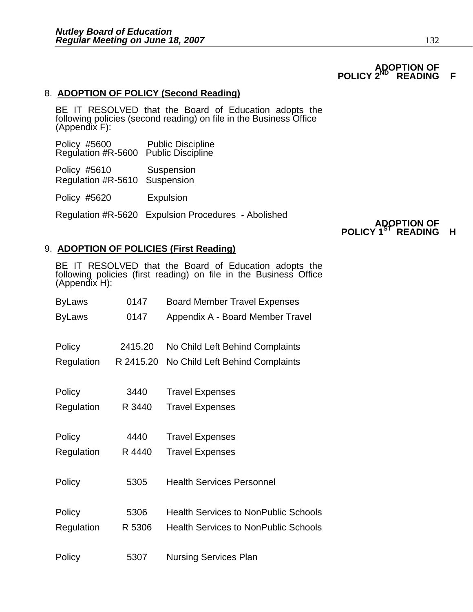### **ADOPTION OF POLICY 2<sup>ND</sup> READING F**

### 8. **ADOPTION OF POLICY (Second Reading)**

BE IT RESOLVED that the Board of Education adopts the following policies (second reading) on file in the Business Office (Appendix F):

| Policy #5600                         | <b>Public Discipline</b> |
|--------------------------------------|--------------------------|
| Regulation #R-5600 Public Discipline |                          |

Policy #5610 Suspension Regulation #R-5610 Suspension

Policy #5620 Expulsion

Regulation #R-5620 Expulsion Procedures - Abolished

# **POLICY 1<sup>ST</sup> READING H**

### 9. **ADOPTION OF POLICIES (First Reading)**

BE IT RESOLVED that the Board of Education adopts the following policies (first reading) on file in the Business Office (Appendix H):

| <b>ByLaws</b> | 0147      | <b>Board Member Travel Expenses</b>         |
|---------------|-----------|---------------------------------------------|
| <b>ByLaws</b> | 0147      | Appendix A - Board Member Travel            |
| Policy        | 2415.20   | No Child Left Behind Complaints             |
| Regulation    | R 2415.20 | No Child Left Behind Complaints             |
| Policy        | 3440      | <b>Travel Expenses</b>                      |
| Regulation    | R 3440    | <b>Travel Expenses</b>                      |
| Policy        | 4440      | <b>Travel Expenses</b>                      |
| Regulation    | R 4440    | <b>Travel Expenses</b>                      |
| Policy        | 5305      | <b>Health Services Personnel</b>            |
| Policy        | 5306      | <b>Health Services to NonPublic Schools</b> |
| Regulation    | R 5306    | <b>Health Services to NonPublic Schools</b> |
| Policy        | 5307      | <b>Nursing Services Plan</b>                |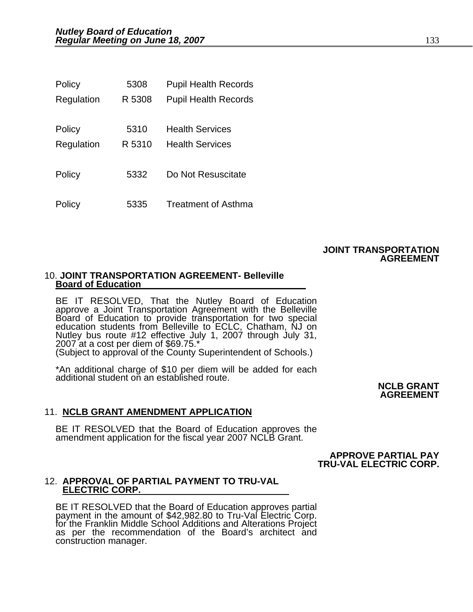| Policy     | 5308   | <b>Pupil Health Records</b> |
|------------|--------|-----------------------------|
| Regulation | R 5308 | <b>Pupil Health Records</b> |
|            |        |                             |
| Policy     | 5310   | <b>Health Services</b>      |
| Regulation | R 5310 | <b>Health Services</b>      |
|            |        |                             |
| Policy     | 5332   | Do Not Resuscitate          |
|            |        |                             |
| Policy     | 5335   | <b>Treatment of Asthma</b>  |

### **JOINT TRANSPORTATION AGREEMENT**

### 10. **JOINT TRANSPORTATION AGREEMENT- Belleville Board of Education**

BE IT RESOLVED, That the Nutley Board of Education approve a Joint Transportation Agreement with the Belleville Board of Education to provide transportation for two special<br>education students from Belleville to ECLC, Chatham, NJ on Nutley bus route #12 effective July 1, 2007 through July 31, 2007 at a cost per diem of \$69.75.\* (Subject to approval of the County Superintendent of Schools.)

\*An additional charge of \$10 per diem will be added for each additional student on an established route.

**NCLB GRANT AGREEMENT** 

### 11. **NCLB GRANT AMENDMENT APPLICATION**

BE IT RESOLVED that the Board of Education approves the amendment application for the fiscal year 2007 NCLB Grant.

 **APPROVE PARTIAL PAY TRU-VAL ELECTRIC CORP.** 

## 12. **APPROVAL OF PARTIAL PAYMENT TO TRU-VAL ELECTRIC CORP.**

BE IT RESOLVED that the Board of Education approves partial payment in the amount of \$42,982.80 to Tru-Val Electric Corp. for the Franklin Middle School Additions and Alterations Project<br>as per the recommendation of the Board's architect and construction manager.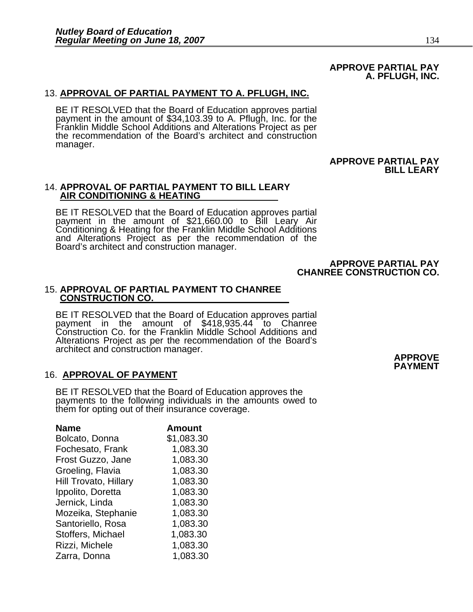### **APPROVE PARTIAL PAY A. PFLUGH, INC.**

### 13. **APPROVAL OF PARTIAL PAYMENT TO A. PFLUGH, INC.**

BE IT RESOLVED that the Board of Education approves partial payment in the amount of \$34,103.39 to A. Pflugh, Inc. for the<br>Franklin Middle School Additions and Alterations Project as per<br>the recommendation of the Board's architect and construction manager.

### **APPROVE PARTIAL PAY BILL LEARY**

## 14. **APPROVAL OF PARTIAL PAYMENT TO BILL LEARY AIR CONDITIONING & HEATING**

BE IT RESOLVED that the Board of Education approves partial<br>payment in the amount of \$21,660.00 to Bill Leary Air Conditioning & Heating for the Franklin Middle School Additions and Alterations Project as per the recommendation of the Board's architect and construction manager.

#### **APPROVE PARTIAL PAY CHANREE CONSTRUCTION CO.**

## 15. **APPROVAL OF PARTIAL PAYMENT TO CHANREE CONSTRUCTION CO.**

BE IT RESOLVED that the Board of Education approves partial payment in the amount of \$418,935.44 to Chanree Construction Co. for the Franklin Middle School Additions and Alterations Project as per the recommendation of the Board's architect and construction manager. **APPROVE** 

### 16. **APPROVAL OF PAYMENT**

BE IT RESOLVED that the Board of Education approves the payments to the following individuals in the amounts owed to them for opting out of their insurance coverage.

| <b>Name</b>                  | <b>Amount</b> |
|------------------------------|---------------|
| Bolcato, Donna               | \$1,083.30    |
| Fochesato, Frank             | 1,083.30      |
| Frost Guzzo, Jane            | 1,083.30      |
| Groeling, Flavia             | 1,083.30      |
| <b>Hill Trovato, Hillary</b> | 1,083.30      |
| Ippolito, Doretta            | 1,083.30      |
| Jernick, Linda               | 1,083.30      |
| Mozeika, Stephanie           | 1,083.30      |
| Santoriello, Rosa            | 1,083.30      |
| Stoffers, Michael            | 1,083.30      |
| Rizzi, Michele               | 1,083.30      |
| Zarra, Donna                 | 1,083.30      |

**PAYMENT**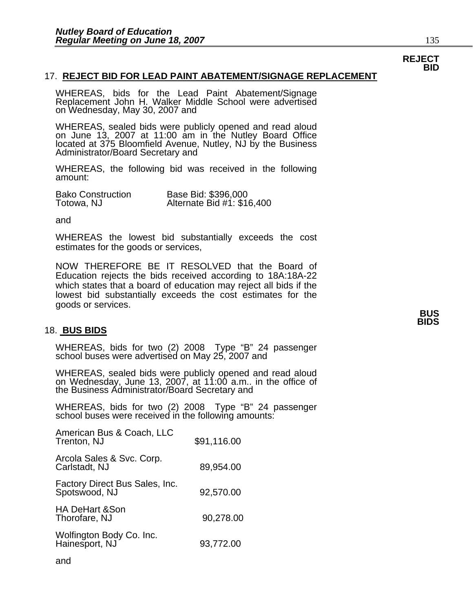### 17. **REJECT BID FOR LEAD PAINT ABATEMENT/SIGNAGE REPLACEMENT**

WHEREAS, bids for the Lead Paint Abatement/Signage Replacement John H. Walker Middle School were advertised on Wednesday, May 30, 2007 and

WHEREAS, sealed bids were publicly opened and read aloud on June 13, 2007 at 11:00 am in the Nutley Board Office located at 375 Bloomfield Avenue, Nutley, NJ by the Business Administrator/Board Secretary and

WHEREAS, the following bid was received in the following amount:

| <b>Bako Construction</b> | Base Bid: \$396,000        |
|--------------------------|----------------------------|
| Totowa, NJ               | Alternate Bid #1: \$16,400 |

and

WHEREAS the lowest bid substantially exceeds the cost estimates for the goods or services,

NOW THEREFORE BE IT RESOLVED that the Board of Education rejects the bids received according to 18A:18A-22 which states that a board of education may reject all bids if the lowest bid substantially exceeds the cost estimates for the goods or services. **BUS BUS** 

### 18. **BUS BIDS**

WHEREAS, bids for two (2) 2008 Type "B" 24 passenger school buses were advertised on May 25, 2007 and

WHEREAS, sealed bids were publicly opened and read aloud on Wednesday, June 13, 2007, at 11:00 a.m.. in the office of the Business Administrator/Board Secretary and

WHEREAS, bids for two (2) 2008 Type "B" 24 passenger school buses were received in the following amounts:

| American Bus & Coach, LLC<br>Trenton, NJ        | \$91,116.00 |
|-------------------------------------------------|-------------|
| Arcola Sales & Svc. Corp.<br>Carlstadt, NJ      | 89,954.00   |
| Factory Direct Bus Sales, Inc.<br>Spotswood, NJ | 92,570.00   |
| <b>HA DeHart &amp;Son</b><br>Thorofare, NJ      | 90,278.00   |
| Wolfington Body Co. Inc.<br>Hainesport, NJ      | 93,772.00   |
|                                                 |             |

**REJECT BID**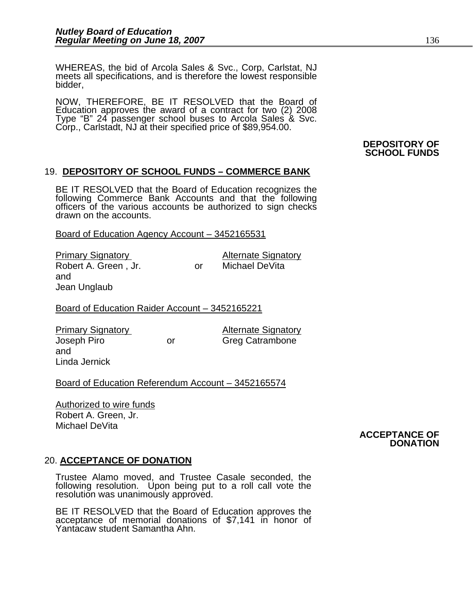WHEREAS, the bid of Arcola Sales & Svc., Corp, Carlstat, NJ meets all specifications, and is therefore the lowest responsible bidder,

NOW, THEREFORE, BE IT RESOLVED that the Board of Education approves the award of a contract for two (2) 2008 Type "B" 24 passenger school buses to Arcola Sales & Svc. Corp., Carlstadt, NJ at their specified price of \$89,954.00.

#### **DEPOSITORY OF SCHOOL FUNDS**

### 19. **DEPOSITORY OF SCHOOL FUNDS – COMMERCE BANK**

BE IT RESOLVED that the Board of Education recognizes the following Commerce Bank Accounts and that the following officers of the various accounts be authorized to sign checks drawn on the accounts.

Board of Education Agency Account – 3452165531

| <b>Primary Signatory</b> |    | <b>Alternate Signatory</b> |  |
|--------------------------|----|----------------------------|--|
| Robert A. Green, Jr.     | nr | Michael DeVita             |  |
| and                      |    |                            |  |

Board of Education Raider Account – 3452165221

Primary Signatory **Alternate Signatory** Joseph Piro or Greg Catrambone and Linda Jernick

Jean Unglaub

### Board of Education Referendum Account – 3452165574

Authorized to wire funds Robert A. Green, Jr. Michael DeVita

#### **ACCEPTANCE OF DONATION**

### 20. **ACCEPTANCE OF DONATION**

Trustee Alamo moved, and Trustee Casale seconded, the following resolution. Upon being put to a roll call vote the resolution was unanimously approved.

BE IT RESOLVED that the Board of Education approves the acceptance of memorial donations of \$7,141 in honor of Yantacaw student Samantha Ahn.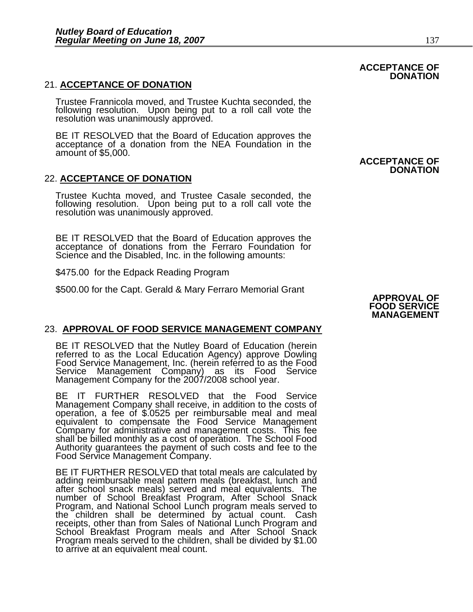### 21. **ACCEPTANCE OF DONATION**

Trustee Frannicola moved, and Trustee Kuchta seconded, the following resolution. Upon being put to a roll call vote the resolution was unanimously approved.

BE IT RESOLVED that the Board of Education approves the acceptance of a donation from the NEA Foundation in the amount of \$5,000.

### 22. **ACCEPTANCE OF DONATION**

Trustee Kuchta moved, and Trustee Casale seconded, the following resolution. Upon being put to a roll call vote the resolution was unanimously approved.

BE IT RESOLVED that the Board of Education approves the acceptance of donations from the Ferraro Foundation for Science and the Disabled, Inc. in the following amounts:

\$475.00 for the Edpack Reading Program

\$500.00 for the Capt. Gerald & Mary Ferraro Memorial Grant **APPROVAL OF** 

### **ACCEPTANCE OF DONATION**

**ACCEPTANCE OF** 

**DONATION** 

### **FOOD SERVICE MANAGEMENT**

### 23. **APPROVAL OF FOOD SERVICE MANAGEMENT COMPANY**

BE IT RESOLVED that the Nutley Board of Education (herein referred to as the Local Education Agency) approve Dowling Food Service Management, Inc. (herein referred to as the Food Service Management Company) as its Food Service Management Company for the 2007/2008 school year.

BE IT FURTHER RESOLVED that the Food Service Management Company shall receive, in addition to the costs of operation, a fee of \$.0525 per reimbursable meal and meal equivalent to compensate the Food Service Management Company for administrative and management costs. This fee shall be billed monthly as a cost of operation. The School Food Authority guarantees the payment of such costs and fee to the Food Service Management Company.

BE IT FURTHER RESOLVED that total meals are calculated by adding reimbursable meal pattern meals (breakfast, lunch and after school snack meals) served and meal equivalents. The number of School Breakfast Program, After School Snack Program, and National School Lunch program meals served to<br>the children shall be determined by actual count. Cash<br>receipts, other than from Sales of National Lunch Program and<br>School Breakfast Program meals and After Schoo Program meals served to the children, shall be divided by \$1.00 to arrive at an equivalent meal count.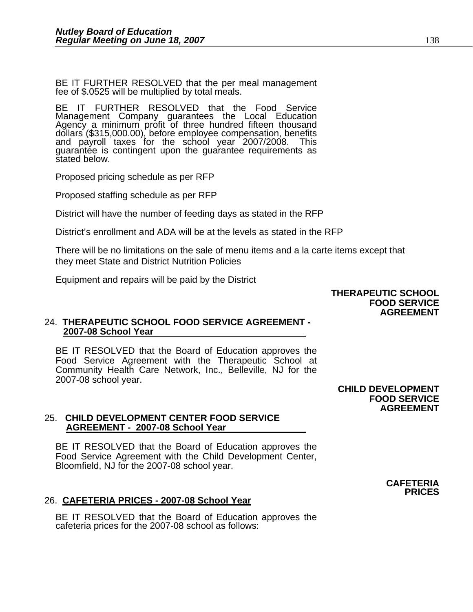BE IT FURTHER RESOLVED that the per meal management fee of \$.0525 will be multiplied by total meals.

BE IT FURTHER RESOLVED that the Food Service Management Company guarantees the Local Education Agency a minimum profit of three hundred fifteen thousand dollars (\$315,000.00), before employee compensation, benefits and payroll taxes for the school year 2007/2008. This guarantée is contingent upon the guarantee requirements as<br>stated below.

Proposed pricing schedule as per RFP

Proposed staffing schedule as per RFP

District will have the number of feeding days as stated in the RFP

District's enrollment and ADA will be at the levels as stated in the RFP

There will be no limitations on the sale of menu items and a la carte items except that they meet State and District Nutrition Policies

Equipment and repairs will be paid by the District

### **THERAPEUTIC SCHOOL FOOD SERVICE AGREEMENT**

### 24. **THERAPEUTIC SCHOOL FOOD SERVICE AGREEMENT - 2007-08 School Year**

BE IT RESOLVED that the Board of Education approves the Food Service Agreement with the Therapeutic School at Community Health Care Network, Inc., Belleville, NJ for the 2007-08 school year.

> **CHILD DEVELOPMENT FOOD SERVICE AGREEMENT**

### 25. **CHILD DEVELOPMENT CENTER FOOD SERVICE AGREEMENT - 2007-08 School Year**

BE IT RESOLVED that the Board of Education approves the Food Service Agreement with the Child Development Center, Bloomfield, NJ for the 2007-08 school year.

### 26. **CAFETERIA PRICES - 2007-08 School Year**

BE IT RESOLVED that the Board of Education approves the cafeteria prices for the 2007-08 school as follows: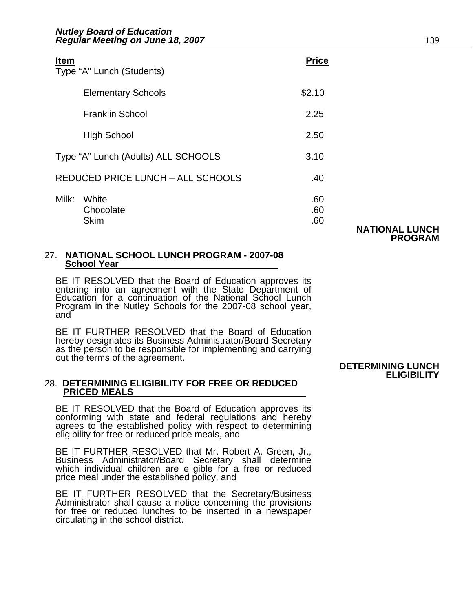| <b>Item</b><br>Type "A" Lunch (Students)   | <b>Price</b>      |                       |
|--------------------------------------------|-------------------|-----------------------|
| <b>Elementary Schools</b>                  | \$2.10            |                       |
| <b>Franklin School</b>                     | 2.25              |                       |
| <b>High School</b>                         | 2.50              |                       |
| Type "A" Lunch (Adults) ALL SCHOOLS        | 3.10              |                       |
| <b>REDUCED PRICE LUNCH - ALL SCHOOLS</b>   | .40               |                       |
| Milk:<br>White<br>Chocolate<br><b>Skim</b> | .60<br>.60<br>.60 | <b>NATIONAL LUNCH</b> |
|                                            |                   | <b>PROGRAM</b>        |

### 27. **NATIONAL SCHOOL LUNCH PROGRAM - 2007-08 School Year**

BE IT RESOLVED that the Board of Education approves its entering into an agreement with the State Department of Education for a continuation of the National School Lunch Program in the Nutley Schools for the 2007-08 school year, and

BE IT FURTHER RESOLVED that the Board of Education hereby designates its Business Administrator/Board Secretary as the person to be responsible for implementing and carrying out the terms of the agreement.<br> **DETERMINING LUNCH** 

## 28. **DETERMINING ELIGIBILITY FOR FREE OR REDUCED PRICED MEALS**

BE IT RESOLVED that the Board of Education approves its conforming with state and federal regulations and hereby agrees to the established policy with respect to determining eligibility for free or reduced price meals, and

BE IT FURTHER RESOLVED that Mr. Robert A. Green, Jr., Business Administrator/Board Secretary shall determine which individual children are eligible for a free or reduced price meal under the established policy, and

BE IT FURTHER RESOLVED that the Secretary/Business Administrator shall cause a notice concerning the provisions for free or reduced lunches to be inserted in a newspaper circulating in the school district.

## **ELIGIBILITY**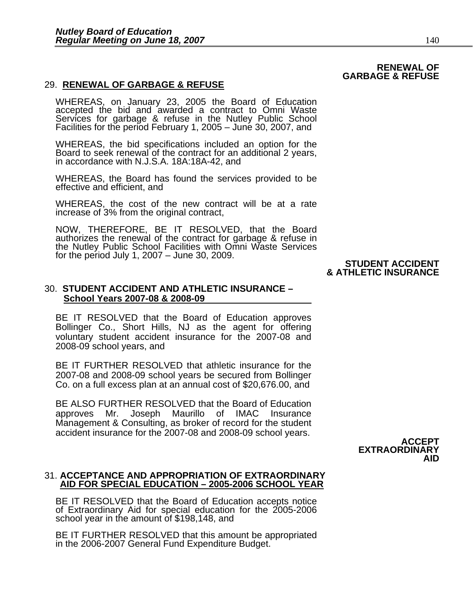### 29. **RENEWAL OF GARBAGE & REFUSE**

WHEREAS, on January 23, 2005 the Board of Education accepted the bid and awarded a contract to Omni Waste Services for garbage & refuse in the Nutley Public School Facilities for the period February 1, 2005 – June 30, 2007, and

WHEREAS, the bid specifications included an option for the Board to seek renewal of the contract for an additional 2 years, in accordance with N.J.S.A. 18A:18A-42, and

WHEREAS, the Board has found the services provided to be effective and efficient, and

WHEREAS, the cost of the new contract will be at a rate increase of 3% from the original contract,

NOW, THEREFORE, BE IT RESOLVED, that the Board authorizes the renewal of the contract for garbage & refuse in the Nutley Public School Facilities with Omni Waste Services for the period July 1, 2007 – June 30, 2009. **STUDENT ACCIDENT** 

### **& ATHLETIC INSURANCE**

### 30. **STUDENT ACCIDENT AND ATHLETIC INSURANCE – School Years 2007-08 & 2008-09**

BE IT RESOLVED that the Board of Education approves Bollinger Co., Short Hills, NJ as the agent for offering voluntary student accident insurance for the 2007-08 and 2008-09 school years, and

BE IT FURTHER RESOLVED that athletic insurance for the 2007-08 and 2008-09 school years be secured from Bollinger Co. on a full excess plan at an annual cost of \$20,676.00, and

BE ALSO FURTHER RESOLVED that the Board of Education approves Mr. Joseph Maurillo of IMAC Insurance Management & Consulting, as broker of record for the student accident insurance for the 2007-08 and 2008-09 school years.

### **ACCEPT EXTRAORDINARY AID**

## 31. **ACCEPTANCE AND APPROPRIATION OF EXTRAORDINARY AID FOR SPECIAL EDUCATION – 2005-2006 SCHOOL YEAR**

BE IT RESOLVED that the Board of Education accepts notice of Extraordinary Aid for special education for the 2005-2006 school year in the amount of \$198,148, and

BE IT FURTHER RESOLVED that this amount be appropriated in the 2006-2007 General Fund Expenditure Budget.

### **RENEWAL OF GARBAGE & REFUSE**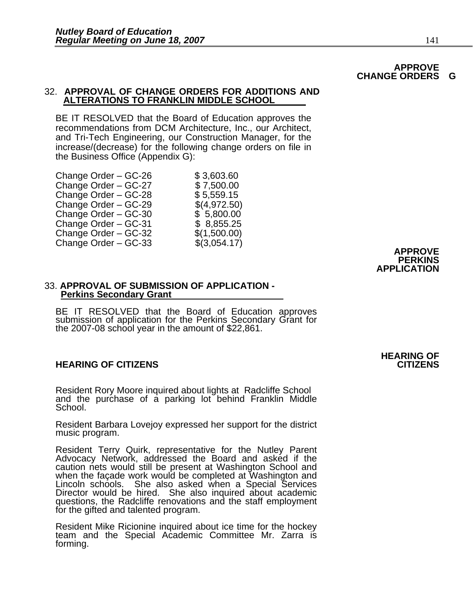### **APPROVE CHANGE ORDERS G**

### 32. **APPROVAL OF CHANGE ORDERS FOR ADDITIONS AND ALTERATIONS TO FRANKLIN MIDDLE SCHOOL**

BE IT RESOLVED that the Board of Education approves the recommendations from DCM Architecture, Inc., our Architect, and Tri-Tech Engineering, our Construction Manager, for the increase/(decrease) for the following change orders on file in the Business Office (Appendix G):

| Change Order - GC-26 | \$3,603.60   |
|----------------------|--------------|
| Change Order - GC-27 | \$7,500.00   |
| Change Order - GC-28 | \$5,559.15   |
| Change Order – GC-29 | \$(4,972.50) |
| Change Order - GC-30 | \$5,800.00   |
| Change Order - GC-31 | \$ 8,855.25  |
| Change Order - GC-32 | \$(1,500.00) |
| Change Order - GC-33 | \$(3,054.17) |
|                      |              |

### **APPROVE PERKINS APPLICATION**

#### 33. **APPROVAL OF SUBMISSION OF APPLICATION - Perkins Secondary Grant**

BE IT RESOLVED that the Board of Education approves submission of application for the Perkins Secondary Grant for the 2007-08 school year in the amount of \$22,861.

### **HEARING OF CITIZENS CITIZENS**

Resident Rory Moore inquired about lights at Radcliffe School and the purchase of a parking lot behind Franklin Middle School.

Resident Barbara Lovejoy expressed her support for the district music program.

Resident Terry Quirk, representative for the Nutley Parent Advocacy Network, addressed the Board and asked if the caution nets would still be present at Washington School and when the façade work would be completed at Washington and Lincoln schools. She also asked when a Special Services Director would be hired. She also inquired about academic questions, the Radcliffe renovations and the staff employment<br>for the gifted and talented program.

Resident Mike Ricionine inquired about ice time for the hockey team and the Special Academic Committee Mr. Zarra is forming.

## **HEARING OF**